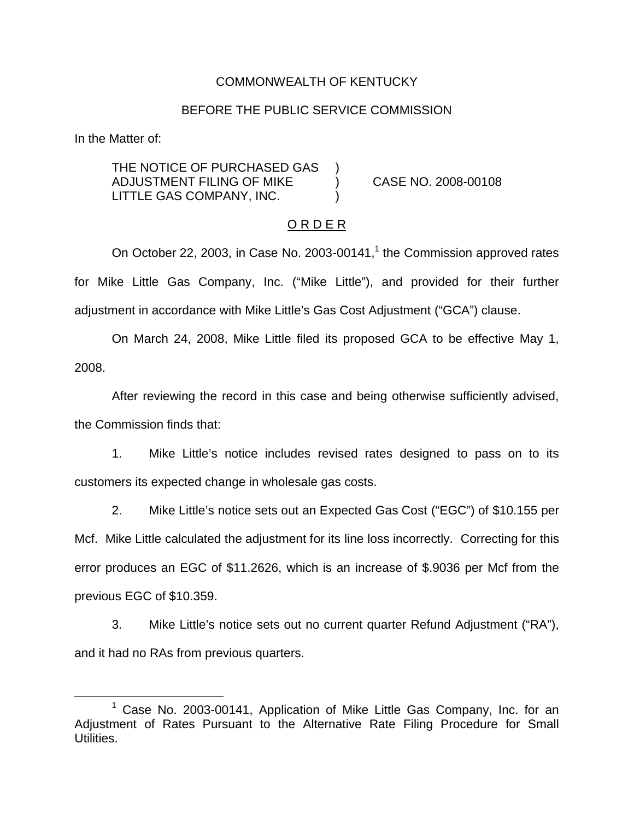### COMMONWEALTH OF KENTUCKY

#### BEFORE THE PUBLIC SERVICE COMMISSION

In the Matter of:

THE NOTICE OF PURCHASED GAS ADJUSTMENT FILING OF MIKE ) CASE NO. 2008-00108 LITTLE GAS COMPANY, INC.

#### O R D E R

On October 22, 2003, in Case No. 2003-00141, $<sup>1</sup>$  the Commission approved rates</sup> for Mike Little Gas Company, Inc. ("Mike Little"), and provided for their further adjustment in accordance with Mike Little's Gas Cost Adjustment ("GCA") clause.

On March 24, 2008, Mike Little filed its proposed GCA to be effective May 1, 2008.

After reviewing the record in this case and being otherwise sufficiently advised, the Commission finds that:

1. Mike Little's notice includes revised rates designed to pass on to its customers its expected change in wholesale gas costs.

2. Mike Little's notice sets out an Expected Gas Cost ("EGC") of \$10.155 per Mcf. Mike Little calculated the adjustment for its line loss incorrectly. Correcting for this error produces an EGC of \$11.2626, which is an increase of \$.9036 per Mcf from the previous EGC of \$10.359.

3. Mike Little's notice sets out no current quarter Refund Adjustment ("RA"), and it had no RAs from previous quarters.

<sup>1</sup> Case No. 2003-00141, Application of Mike Little Gas Company, Inc. for an Adjustment of Rates Pursuant to the Alternative Rate Filing Procedure for Small Utilities.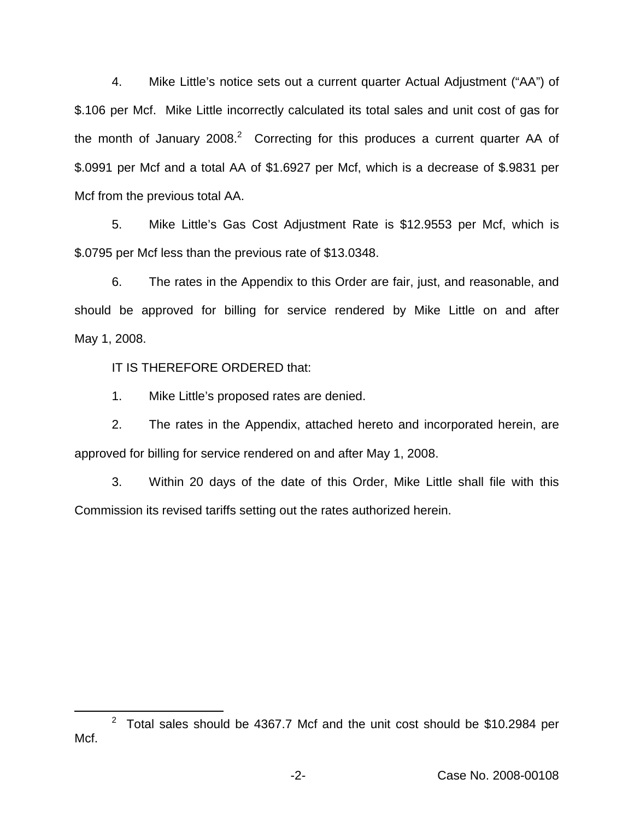4. Mike Little's notice sets out a current quarter Actual Adjustment ("AA") of \$.106 per Mcf. Mike Little incorrectly calculated its total sales and unit cost of gas for the month of January  $2008.<sup>2</sup>$  Correcting for this produces a current quarter AA of \$.0991 per Mcf and a total AA of \$1.6927 per Mcf, which is a decrease of \$.9831 per Mcf from the previous total AA.

5. Mike Little's Gas Cost Adjustment Rate is \$12.9553 per Mcf, which is \$.0795 per Mcf less than the previous rate of \$13.0348.

6. The rates in the Appendix to this Order are fair, just, and reasonable, and should be approved for billing for service rendered by Mike Little on and after May 1, 2008.

IT IS THEREFORE ORDERED that:

1. Mike Little's proposed rates are denied.

2. The rates in the Appendix, attached hereto and incorporated herein, are approved for billing for service rendered on and after May 1, 2008.

3. Within 20 days of the date of this Order, Mike Little shall file with this Commission its revised tariffs setting out the rates authorized herein.

 $2$  Total sales should be 4367.7 Mcf and the unit cost should be \$10.2984 per Mcf.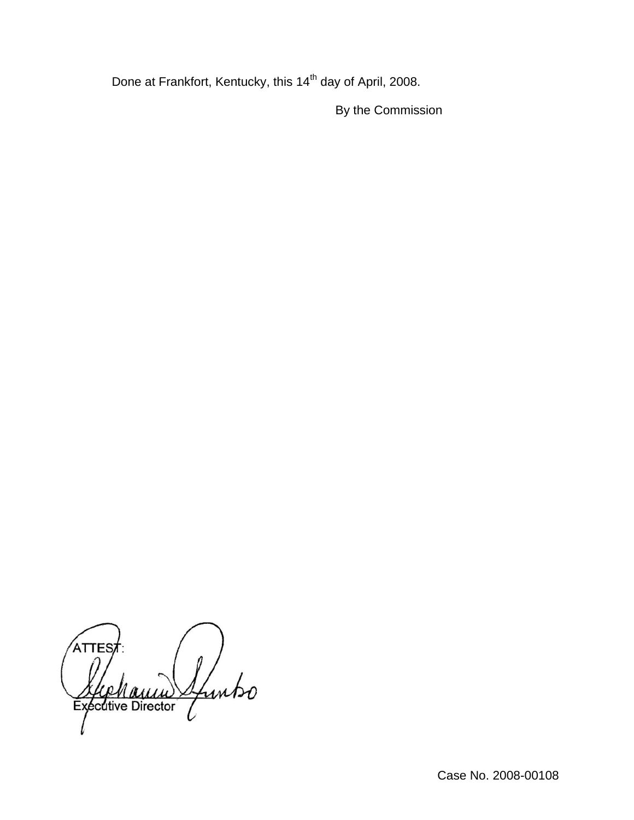Done at Frankfort, Kentucky, this 14<sup>th</sup> day of April, 2008.

By the Commission

**ATTES** Sfuntso Executive Director